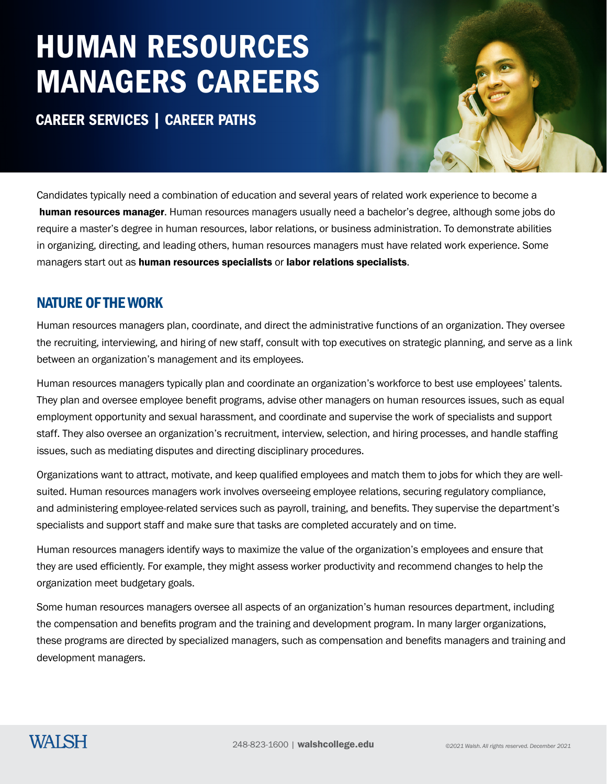## HUMAN RESOURCES MANAGERS CAREERS

CAREER SERVICES | CAREER PATHS



Candidates typically need a combination of education and several years of related work experience to become a human resources manager. Human resources managers usually need a bachelor's degree, although some jobs do require a master's degree in human resources, labor relations, or business administration. To demonstrate abilities in organizing, directing, and leading others, human resources managers must have related work experience. Some managers start out as human resources specialists or labor relations specialists.

### NATURE OF THE WORK

Human resources managers plan, coordinate, and direct the administrative functions of an organization. They oversee the recruiting, interviewing, and hiring of new staff, consult with top executives on strategic planning, and serve as a link between an organization's management and its employees.

Human resources managers typically plan and coordinate an organization's workforce to best use employees' talents. They plan and oversee employee benefit programs, advise other managers on human resources issues, such as equal employment opportunity and sexual harassment, and coordinate and supervise the work of specialists and support staff. They also oversee an organization's recruitment, interview, selection, and hiring processes, and handle staffing issues, such as mediating disputes and directing disciplinary procedures.

Organizations want to attract, motivate, and keep qualified employees and match them to jobs for which they are wellsuited. Human resources managers work involves overseeing employee relations, securing regulatory compliance, and administering employee-related services such as payroll, training, and benefits. They supervise the department's specialists and support staff and make sure that tasks are completed accurately and on time.

Human resources managers identify ways to maximize the value of the organization's employees and ensure that they are used efficiently. For example, they might assess worker productivity and recommend changes to help the organization meet budgetary goals.

Some human resources managers oversee all aspects of an organization's human resources department, including the compensation and benefits program and the training and development program. In many larger organizations, these programs are directed by specialized managers, such as compensation and benefits managers and training and development managers.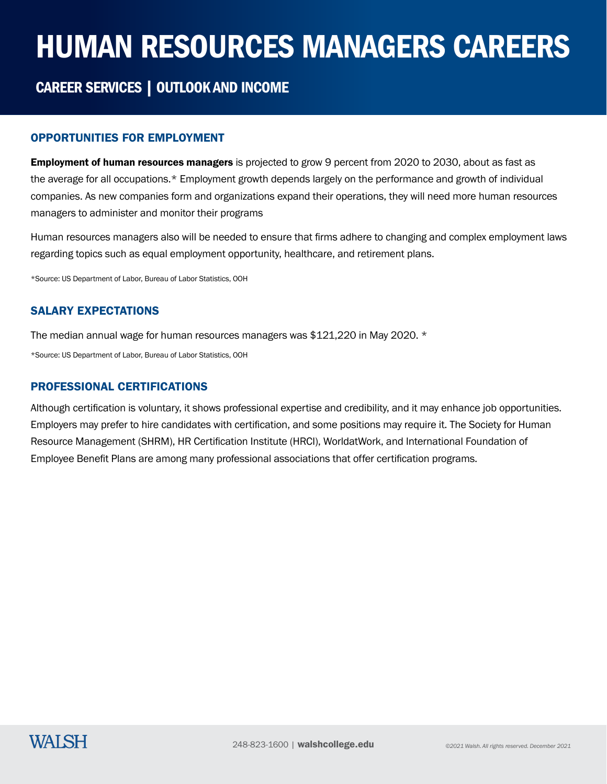# HUMAN RESOURCES MANAGERS CAREERS

## CAREER SERVICES | OUTLOOK AND INCOME

#### OPPORTUNITIES FOR EMPLOYMENT

**Employment of human resources managers** is projected to grow 9 percent from 2020 to 2030, about as fast as the average for all occupations.\* Employment growth depends largely on the performance and growth of individual companies. As new companies form and organizations expand their operations, they will need more human resources managers to administer and monitor their programs

Human resources managers also will be needed to ensure that firms adhere to changing and complex employment laws regarding topics such as equal employment opportunity, healthcare, and retirement plans.

\*Source: US Department of Labor, Bureau of Labor Statistics, OOH

#### SALARY EXPECTATIONS

The median annual wage for human resources managers was \$121,220 in May 2020. \*

\*Source: US Department of Labor, Bureau of Labor Statistics, OOH

#### PROFESSIONAL CERTIFICATIONS

Although certification is voluntary, it shows professional expertise and credibility, and it may enhance job opportunities. Employers may prefer to hire candidates with certification, and some positions may require it. The Society for Human Resource Management (SHRM), HR Certification Institute (HRCI), WorldatWork, and International Foundation of Employee Benefit Plans are among many professional associations that offer certification programs.